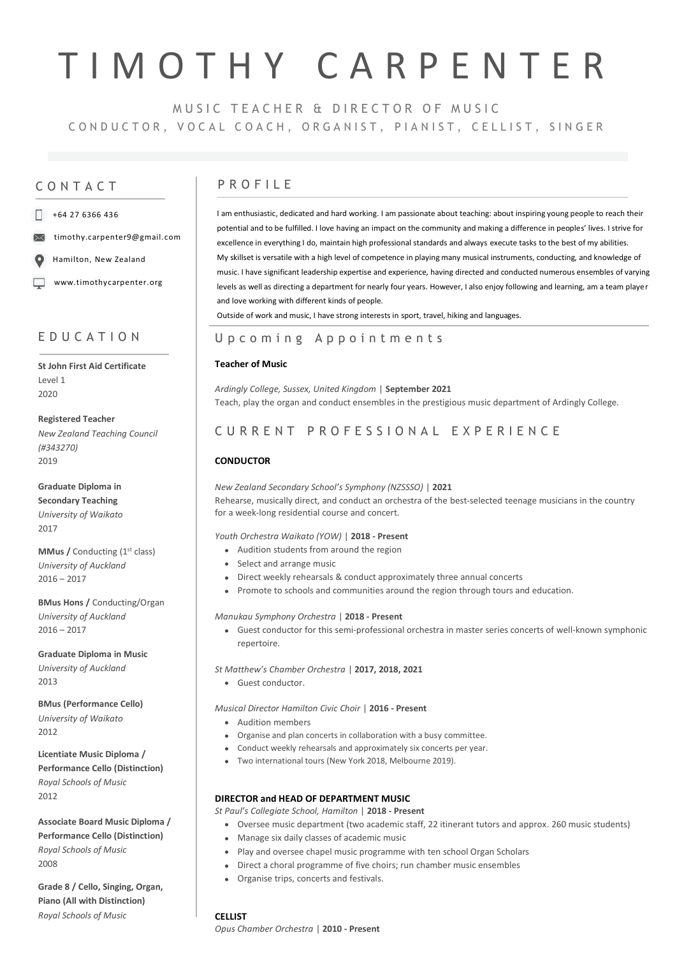# T I M O T H Y C A R P E N T E R

MUSIC TEACHER & DIRECTOR OF MUSIC CONDUCTOR, VOCAL COACH, ORGANIST, PIANIST, CELLIST, SINGER

#### $\Box$  +64 27 6366 436

timothy.carpenter9@gmail.com

Hamilton, New Zealand

www.timothycarpenter.org

## E D U C A T I O N

**St John First Aid Certificate** Level 1 2020

**Registered Teacher** *New Zealand Teaching Council (#343270)* 2019

**Graduate Diploma in Secondary Teaching**  *University of Waikato* 2017

**MMus / Conducting (1st class)** *University of Auckland*  $2016 - 2017$ 

**BMus Hons /** Conducting/Organ *University of Auckland*  $2016 - 2017$ 

**Graduate Diploma in Music** *University of Auckland* 2013

**BMus (Performance Cello)** *University of Waikato* 2012

**Licentiate Music Diploma / Performance Cello (Distinction)** *Royal Schools of Music* 2012

**Associate Board Music Diploma / Performance Cello (Distinction)** *Royal Schools of Music* 2008

**Grade 8 / Cello, Singing, Organ, Piano (All with Distinction)** *Royal Schools of Music*

## CONTACT PROFILE

I am enthusiastic, dedicated and hard working. I am passionate about teaching: about inspiring young people to reach their potential and to be fulfilled. I love having an impact on the community and making a difference in peoples' lives. I strive for excellence in everything I do, maintain high professional standards and always execute tasks to the best of my abilities. My skillset is versatile with a high level of competence in playing many musical instruments, conducting, and knowledge of music. I have significant leadership expertise and experience, having directed and conducted numerous ensembles of varying levels as well as directing a department for nearly four years. However, I also enjoy following and learning, am a team player and love working with different kinds of people.

Outside of work and music, I have strong interests in sport, travel, hiking and languages.

## U p c o m i n g A p p o i n t m e n t s

#### **Teacher of Music**

*Ardingly College, Sussex, United Kingdom* | **September 2021** Teach, play the organ and conduct ensembles in the prestigious music department of Ardingly College.

## C U R R E N T P R O F E S S I O N A L E X P E R I E N C E

### **CONDUCTOR**

*New Zealand Secondary School's Symphony (NZSSSO)* | **2021** Rehearse, musically direct, and conduct an orchestra of the best-selected teenage musicians in the country for a week-long residential course and concert.

#### *Youth Orchestra Waikato (YOW)* | **2018 - Present**

- Audition students from around the region
- Select and arrange music
- Direct weekly rehearsals & conduct approximately three annual concerts
- Promote to schools and communities around the region through tours and education.

#### *Manukau Symphony Orchestra* | **2018 - Present**

• Guest conductor for this semi-professional orchestra in master series concerts of well-known symphonic repertoire.

*St Matthew's Chamber Orchestra* | **2017, 2018, 2021**

• Guest conductor.

*Musical Director Hamilton Civic Choir* | **2016 - Present**

- Audition members
- Organise and plan concerts in collaboration with a busy committee.
- Conduct weekly rehearsals and approximately six concerts per year.
- Two international tours (New York 2018, Melbourne 2019).

#### **DIRECTOR and HEAD OF DEPARTMENT MUSIC**

*St Paul's Collegiate School, Hamilton* | **2018 - Present**

- Oversee music department (two academic staff, 22 itinerant tutors and approx. 260 music students)
- Manage six daily classes of academic music
- Play and oversee chapel music programme with ten school Organ Scholars
- Direct a choral programme of five choirs; run chamber music ensembles
- Organise trips, concerts and festivals.

#### **CELLIST**

*Opus Chamber Orchestra* | **2010 - Present**